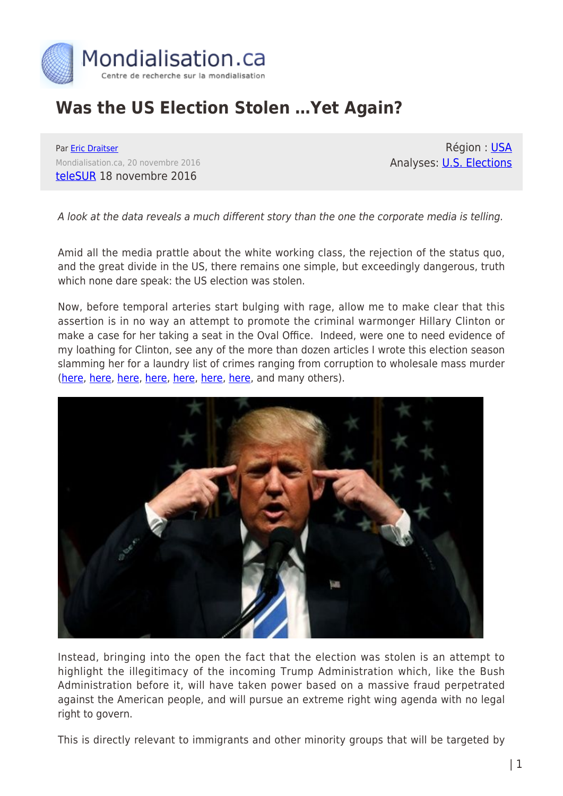

## **Was the US Election Stolen …Yet Again?**

Par [Eric Draitser](https://www.mondialisation.ca/author/eric-draitser) Mondialisation.ca, 20 novembre 2016 [teleSUR](http://www.telesurtv.net/english/opinion/Was-the-US-Election-Stolen-...Yet-Again-20161118-0008.html) 18 novembre 2016

Région : [USA](https://www.mondialisation.ca/region/usa) Analyses: [U.S. Elections](https://www.mondialisation.ca/indepthreport/u-s-elections)

A look at the data reveals a much different story than the one the corporate media is telling.

Amid all the media prattle about the white working class, the rejection of the status quo, and the great divide in the US, there remains one simple, but exceedingly dangerous, truth which none dare speak: the US election was stolen.

Now, before temporal arteries start bulging with rage, allow me to make clear that this assertion is in no way an attempt to promote the criminal warmonger Hillary Clinton or make a case for her taking a seat in the Oval Office. Indeed, were one to need evidence of my loathing for Clinton, see any of the more than dozen articles I wrote this election season slamming her for a laundry list of crimes ranging from corruption to wholesale mass murder [\(here](http://www.telesurtv.net/english/opinion/Hillary-Clinton-and-Wall-Streets-Neoliberal-War-on-Latin-America-20160429-0034.html), [here,](http://www.counterpunch.org/2016/08/10/hillary-clinton-and-the-big-neoliberal-lie/) [here](http://www.counterpunch.org/2016/08/29/hillary-and-the-clinton-foundation-exemplars-of-americas-political-rot/), [here,](http://www.telesurtv.net/english/opinion/Hillary-Clinton-The-Anti-Woman-Feminist-20160819-0021.html) [here](http://www.counterpunch.org/2016/08/03/leaked-dnc-emails-confirm-anti-sanders-conspiracy/), [here,](http://www.counterpunch.org/2016/07/22/clintons-vice-president-a-match-made-on-wall-street/) [here](http://www.counterpunch.org/2016/05/19/hillary-clintons-race-problem/), and many others).



Instead, bringing into the open the fact that the election was stolen is an attempt to highlight the illegitimacy of the incoming Trump Administration which, like the Bush Administration before it, will have taken power based on a massive fraud perpetrated against the American people, and will pursue an extreme right wing agenda with no legal right to govern.

This is directly relevant to immigrants and other minority groups that will be targeted by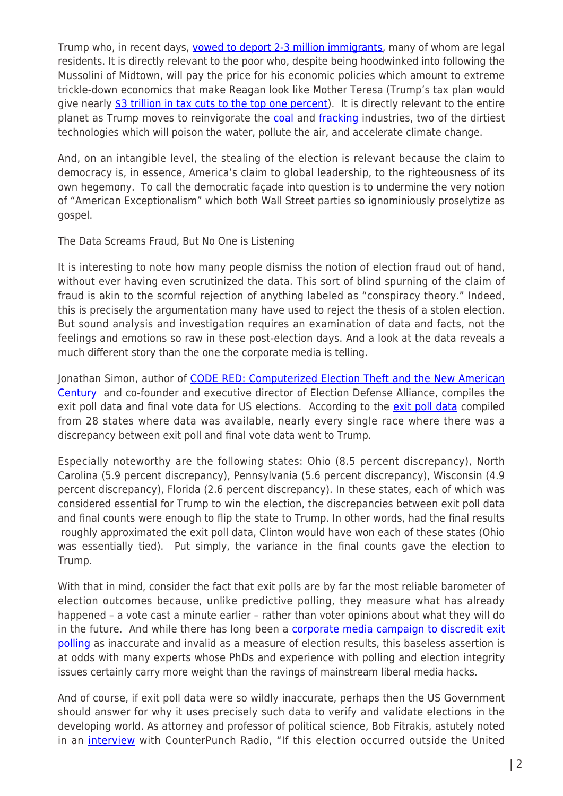Trump who, in recent days, [vowed to deport 2-3 million immigrants,](http://www.cbsnews.com/news/president-elect-trump-says-how-many-immigrants-hell-deport/) many of whom are legal residents. It is directly relevant to the poor who, despite being hoodwinked into following the Mussolini of Midtown, will pay the price for his economic policies which amount to extreme trickle-down economics that make Reagan look like Mother Teresa (Trump's tax plan would give nearly [\\$3 trillion in tax cuts to the top one percent\)](http://www.taxpolicycenter.org/publications/analysis-donald-trumps-revised-tax-plan). It is directly relevant to the entire planet as Trump moves to reinvigorate the [coal](http://www.washingtonexaminer.com/trumps-plan-to-bring-back-coal-country-places-epa-in-crosshairs/article/2607222) and [fracking](http://www.latimes.com/politics/la-fi-trump-fracking-20160922-snap-story.html) industries, two of the dirtiest technologies which will poison the water, pollute the air, and accelerate climate change.

And, on an intangible level, the stealing of the election is relevant because the claim to democracy is, in essence, America's claim to global leadership, to the righteousness of its own hegemony. To call the democratic façade into question is to undermine the very notion of "American Exceptionalism" which both Wall Street parties so ignominiously proselytize as gospel.

The Data Screams Fraud, But No One is Listening

It is interesting to note how many people dismiss the notion of election fraud out of hand, without ever having even scrutinized the data. This sort of blind spurning of the claim of fraud is akin to the scornful rejection of anything labeled as "conspiracy theory." Indeed, this is precisely the argumentation many have used to reject the thesis of a stolen election. But sound analysis and investigation requires an examination of data and facts, not the feelings and emotions so raw in these post-election days. And a look at the data reveals a much different story than the one the corporate media is telling.

Jonathan Simon, author of [CODE RED: Computerized Election Theft and the New American](http://codered2014.com/) [Century](http://codered2014.com/) and co-founder and executive director of Election Defense Alliance, compiles the [exit poll data](http://codered2014.com/wp-content/uploads/2016/11/2016PresidentialExitPoll-VoteCountComparative.pdf) and final vote data for US elections. According to the exit poll data compiled from 28 states where data was available, nearly every single race where there was a discrepancy between exit poll and final vote data went to Trump.

Especially noteworthy are the following states: Ohio (8.5 percent discrepancy), North Carolina (5.9 percent discrepancy), Pennsylvania (5.6 percent discrepancy), Wisconsin (4.9 percent discrepancy), Florida (2.6 percent discrepancy). In these states, each of which was considered essential for Trump to win the election, the discrepancies between exit poll data and final counts were enough to flip the state to Trump. In other words, had the final results roughly approximated the exit poll data, Clinton would have won each of these states (Ohio was essentially tied). Put simply, the variance in the final counts gave the election to Trump.

With that in mind, consider the fact that exit polls are by far the most reliable barometer of election outcomes because, unlike predictive polling, they measure what has already happened – a vote cast a minute earlier – rather than voter opinions about what they will do in the future. And while there has long been a [corporate media campaign to discredit exit](https://www.thenation.com/article/reminder-exit-poll-conspiracy-theories-are-totally-baseless/) [polling](https://www.thenation.com/article/reminder-exit-poll-conspiracy-theories-are-totally-baseless/) as inaccurate and invalid as a measure of election results, this baseless assertion is at odds with many experts whose PhDs and experience with polling and election integrity issues certainly carry more weight than the ravings of mainstream liberal media hacks.

And of course, if exit poll data were so wildly inaccurate, perhaps then the US Government should answer for why it uses precisely such data to verify and validate elections in the developing world. As attorney and professor of political science, Bob Fitrakis, astutely noted in an [interview](https://store.counterpunch.org/bob-fitrakis-episode-61/) with CounterPunch Radio, "If this election occurred outside the United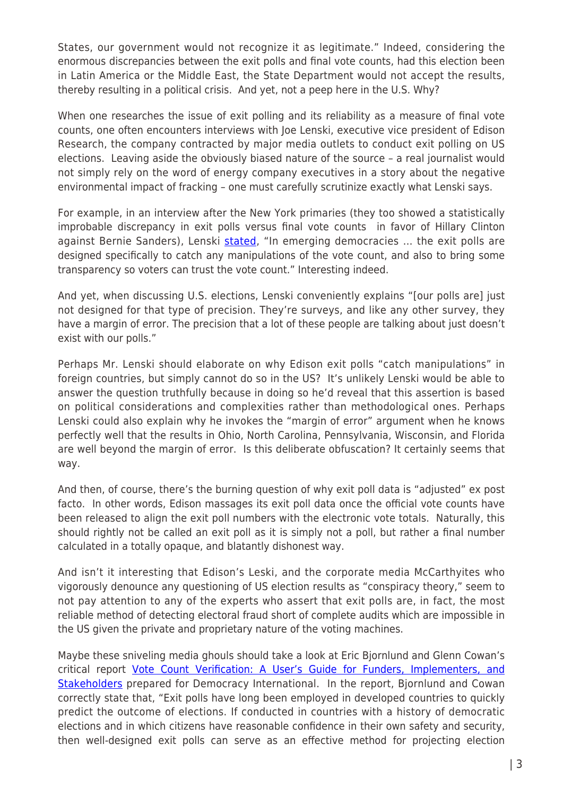States, our government would not recognize it as legitimate." Indeed, considering the enormous discrepancies between the exit polls and final vote counts, had this election been in Latin America or the Middle East, the State Department would not accept the results, thereby resulting in a political crisis. And yet, not a peep here in the U.S. Why?

When one researches the issue of exit polling and its reliability as a measure of final vote counts, one often encounters interviews with Joe Lenski, executive vice president of Edison Research, the company contracted by major media outlets to conduct exit polling on US elections. Leaving aside the obviously biased nature of the source – a real journalist would not simply rely on the word of energy company executives in a story about the negative environmental impact of fracking – one must carefully scrutinize exactly what Lenski says.

For example, in an interview after the New York primaries (they too showed a statistically improbable discrepancy in exit polls versus final vote counts in favor of Hillary Clinton against Bernie Sanders), Lenski [stated](https://www.rawstory.com/2016/04/on-tim-robbins-election-fraud-and-how-nonsense-spreads-around-the-internet/), "In emerging democracies ... the exit polls are designed specifically to catch any manipulations of the vote count, and also to bring some transparency so voters can trust the vote count." Interesting indeed.

And yet, when discussing U.S. elections, Lenski conveniently explains "[our polls are] just not designed for that type of precision. They're surveys, and like any other survey, they have a margin of error. The precision that a lot of these people are talking about just doesn't exist with our polls."

Perhaps Mr. Lenski should elaborate on why Edison exit polls "catch manipulations" in foreign countries, but simply cannot do so in the US? It's unlikely Lenski would be able to answer the question truthfully because in doing so he'd reveal that this assertion is based on political considerations and complexities rather than methodological ones. Perhaps Lenski could also explain why he invokes the "margin of error" argument when he knows perfectly well that the results in Ohio, North Carolina, Pennsylvania, Wisconsin, and Florida are well beyond the margin of error. Is this deliberate obfuscation? It certainly seems that way.

And then, of course, there's the burning question of why exit poll data is "adjusted" ex post facto. In other words, Edison massages its exit poll data once the official vote counts have been released to align the exit poll numbers with the electronic vote totals. Naturally, this should rightly not be called an exit poll as it is simply not a poll, but rather a final number calculated in a totally opaque, and blatantly dishonest way.

And isn't it interesting that Edison's Leski, and the corporate media McCarthyites who vigorously denounce any questioning of US election results as "conspiracy theory," seem to not pay attention to any of the experts who assert that exit polls are, in fact, the most reliable method of detecting electoral fraud short of complete audits which are impossible in the US given the private and proprietary nature of the voting machines.

Maybe these sniveling media ghouls should take a look at Eric Bjornlund and Glenn Cowan's critical report [Vote Count Verification: A User's Guide for Funders, Implementers, and](https://www.mondialisation.ca/about:blank) [Stakeholders](https://www.mondialisation.ca/about:blank) prepared for Democracy International. In the report, Bjornlund and Cowan correctly state that, "Exit polls have long been employed in developed countries to quickly predict the outcome of elections. If conducted in countries with a history of democratic elections and in which citizens have reasonable confidence in their own safety and security, then well-designed exit polls can serve as an effective method for projecting election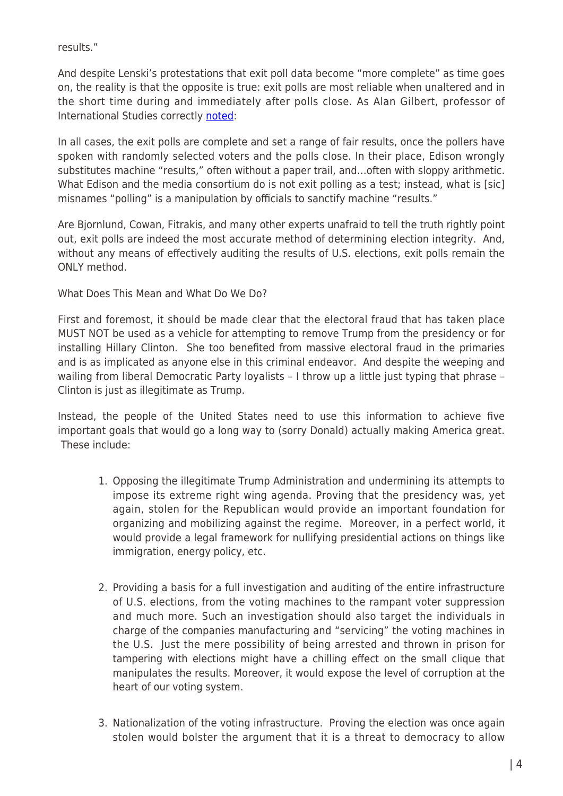results."

And despite Lenski's protestations that exit poll data become "more complete" as time goes on, the reality is that the opposite is true: exit polls are most reliable when unaltered and in the short time during and immediately after polls close. As Alan Gilbert, professor of International Studies correctly [noted](http://www.3ammagazine.com/3am/joe-lenski-and-why-initial-exit-polls-are-a-test-for-fair-elections-in-the-usa/):

In all cases, the exit polls are complete and set a range of fair results, once the pollers have spoken with randomly selected voters and the polls close. In their place, Edison wrongly substitutes machine "results," often without a paper trail, and…often with sloppy arithmetic. What Edison and the media consortium do is not exit polling as a test; instead, what is [sic] misnames "polling" is a manipulation by officials to sanctify machine "results."

Are Bjornlund, Cowan, Fitrakis, and many other experts unafraid to tell the truth rightly point out, exit polls are indeed the most accurate method of determining election integrity. And, without any means of effectively auditing the results of U.S. elections, exit polls remain the ONLY method.

What Does This Mean and What Do We Do?

First and foremost, it should be made clear that the electoral fraud that has taken place MUST NOT be used as a vehicle for attempting to remove Trump from the presidency or for installing Hillary Clinton. She too benefited from massive electoral fraud in the primaries and is as implicated as anyone else in this criminal endeavor. And despite the weeping and wailing from liberal Democratic Party loyalists - I throw up a little just typing that phrase -Clinton is just as illegitimate as Trump.

Instead, the people of the United States need to use this information to achieve five important goals that would go a long way to (sorry Donald) actually making America great. These include:

- 1. Opposing the illegitimate Trump Administration and undermining its attempts to impose its extreme right wing agenda. Proving that the presidency was, yet again, stolen for the Republican would provide an important foundation for organizing and mobilizing against the regime. Moreover, in a perfect world, it would provide a legal framework for nullifying presidential actions on things like immigration, energy policy, etc.
- 2. Providing a basis for a full investigation and auditing of the entire infrastructure of U.S. elections, from the voting machines to the rampant voter suppression and much more. Such an investigation should also target the individuals in charge of the companies manufacturing and "servicing" the voting machines in the U.S. Just the mere possibility of being arrested and thrown in prison for tampering with elections might have a chilling effect on the small clique that manipulates the results. Moreover, it would expose the level of corruption at the heart of our voting system.
- 3. Nationalization of the voting infrastructure. Proving the election was once again stolen would bolster the argument that it is a threat to democracy to allow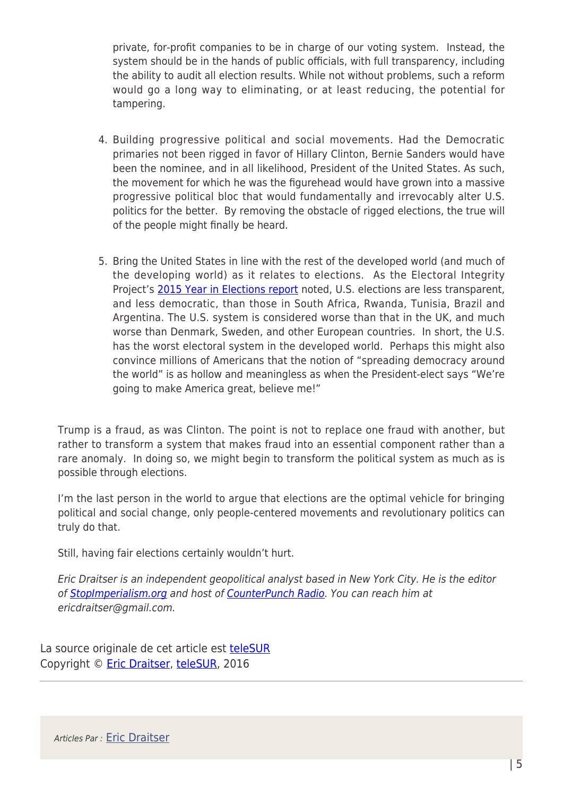private, for-profit companies to be in charge of our voting system. Instead, the system should be in the hands of public officials, with full transparency, including the ability to audit all election results. While not without problems, such a reform would go a long way to eliminating, or at least reducing, the potential for tampering.

- 4. Building progressive political and social movements. Had the Democratic primaries not been rigged in favor of Hillary Clinton, Bernie Sanders would have been the nominee, and in all likelihood, President of the United States. As such, the movement for which he was the figurehead would have grown into a massive progressive political bloc that would fundamentally and irrevocably alter U.S. politics for the better. By removing the obstacle of rigged elections, the true will of the people might finally be heard.
- 5. Bring the United States in line with the rest of the developed world (and much of the developing world) as it relates to elections. As the Electoral Integrity Project's [2015 Year in Elections report](https://sites.google.com/site/electoralintegrityproject4/projects/expert-survey-2/the-year-in-elections-2015) noted, U.S. elections are less transparent, and less democratic, than those in South Africa, Rwanda, Tunisia, Brazil and Argentina. The U.S. system is considered worse than that in the UK, and much worse than Denmark, Sweden, and other European countries. In short, the U.S. has the worst electoral system in the developed world. Perhaps this might also convince millions of Americans that the notion of "spreading democracy around the world" is as hollow and meaningless as when the President-elect says "We're going to make America great, believe me!"

Trump is a fraud, as was Clinton. The point is not to replace one fraud with another, but rather to transform a system that makes fraud into an essential component rather than a rare anomaly. In doing so, we might begin to transform the political system as much as is possible through elections.

I'm the last person in the world to argue that elections are the optimal vehicle for bringing political and social change, only people-centered movements and revolutionary politics can truly do that.

Still, having fair elections certainly wouldn't hurt.

Eric Draitser is an independent geopolitical analyst based in New York City. He is the editor of [StopImperialism.org](http://www.stopimperialism.org/) and host of [CounterPunch Radio](http://store.counterpunch.org/category/counterpunch-radio-podcasts/). You can reach him at ericdraitser@gmail.com.

La source originale de cet article est [teleSUR](http://www.telesurtv.net/english/opinion/Was-the-US-Election-Stolen-...Yet-Again-20161118-0008.html) Copyright © [Eric Draitser,](https://www.mondialisation.ca/author/eric-draitser) [teleSUR,](http://www.telesurtv.net/english/opinion/Was-the-US-Election-Stolen-...Yet-Again-20161118-0008.html) 2016